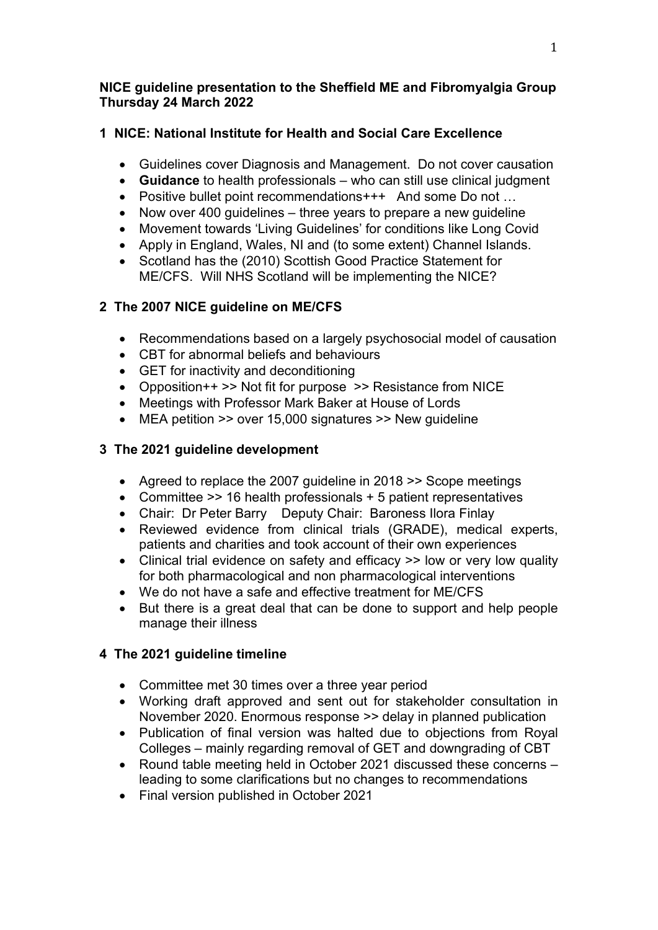#### NICE guideline presentation to the Sheffield ME and Fibromyalgia Group Thursday 24 March 2022

## 1 NICE: National Institute for Health and Social Care Excellence

- Guidelines cover Diagnosis and Management. Do not cover causation
- Guidance to health professionals who can still use clinical judgment
- Positive bullet point recommendations+++ And some Do not …
- Now over 400 guidelines three years to prepare a new guideline
- Movement towards 'Living Guidelines' for conditions like Long Covid
- Apply in England, Wales, NI and (to some extent) Channel Islands.
- Scotland has the (2010) Scottish Good Practice Statement for ME/CFS. Will NHS Scotland will be implementing the NICE?

# 2 The 2007 NICE guideline on ME/CFS

- Recommendations based on a largely psychosocial model of causation
- CBT for abnormal beliefs and behaviours
- GET for inactivity and deconditioning
- Opposition++ >> Not fit for purpose >> Resistance from NICE
- Meetings with Professor Mark Baker at House of Lords
- MEA petition >> over 15,000 signatures >> New guideline

# 3 The 2021 guideline development

- Agreed to replace the 2007 guideline in 2018 >> Scope meetings
- Committee >> 16 health professionals + 5 patient representatives
- Chair: Dr Peter Barry Deputy Chair: Baroness Ilora Finlay
- Reviewed evidence from clinical trials (GRADE), medical experts, patients and charities and took account of their own experiences
- Clinical trial evidence on safety and efficacy >> low or very low quality for both pharmacological and non pharmacological interventions
- We do not have a safe and effective treatment for ME/CFS
- But there is a great deal that can be done to support and help people manage their illness

# 4 The 2021 guideline timeline

- Committee met 30 times over a three year period
- Working draft approved and sent out for stakeholder consultation in November 2020. Enormous response >> delay in planned publication
- Publication of final version was halted due to objections from Royal Colleges – mainly regarding removal of GET and downgrading of CBT
- Round table meeting held in October 2021 discussed these concerns leading to some clarifications but no changes to recommendations
- Final version published in October 2021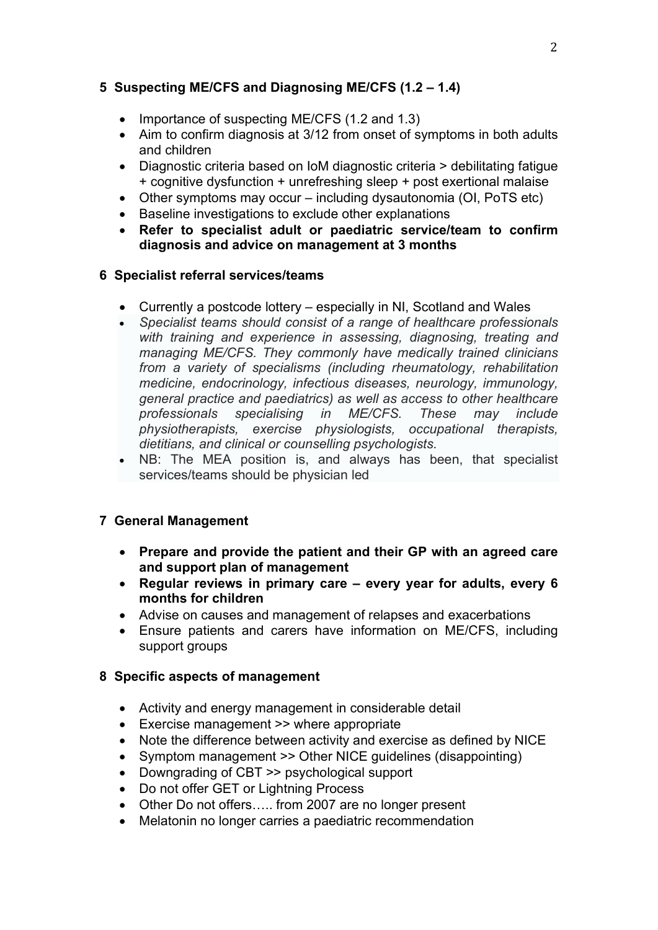## 5 Suspecting ME/CFS and Diagnosing ME/CFS (1.2 – 1.4)

- Importance of suspecting ME/CFS (1.2 and 1.3)
- Aim to confirm diagnosis at 3/12 from onset of symptoms in both adults and children
- Diagnostic criteria based on IoM diagnostic criteria > debilitating fatigue + cognitive dysfunction + unrefreshing sleep + post exertional malaise
- Other symptoms may occur including dysautonomia (OI, PoTS etc)
- Baseline investigations to exclude other explanations
- Refer to specialist adult or paediatric service/team to confirm diagnosis and advice on management at 3 months

#### 6 Specialist referral services/teams

- Currently a postcode lottery especially in NI, Scotland and Wales
- Specialist teams should consist of a range of healthcare professionals with training and experience in assessing, diagnosing, treating and managing ME/CFS. They commonly have medically trained clinicians from a variety of specialisms (including rheumatology, rehabilitation medicine, endocrinology, infectious diseases, neurology, immunology, general practice and paediatrics) as well as access to other healthcare professionals specialising in ME/CFS. These may include physiotherapists, exercise physiologists, occupational therapists, dietitians, and clinical or counselling psychologists.
- NB: The MEA position is, and always has been, that specialist services/teams should be physician led

## 7 General Management

- Prepare and provide the patient and their GP with an agreed care and support plan of management
- Regular reviews in primary care every year for adults, every 6 months for children
- Advise on causes and management of relapses and exacerbations
- Ensure patients and carers have information on ME/CFS, including support groups

#### 8 Specific aspects of management

- Activity and energy management in considerable detail
- Exercise management >> where appropriate
- Note the difference between activity and exercise as defined by NICE
- Symptom management >> Other NICE guidelines (disappointing)
- Downgrading of CBT >> psychological support
- Do not offer GET or Lightning Process
- Other Do not offers….. from 2007 are no longer present
- Melatonin no longer carries a paediatric recommendation